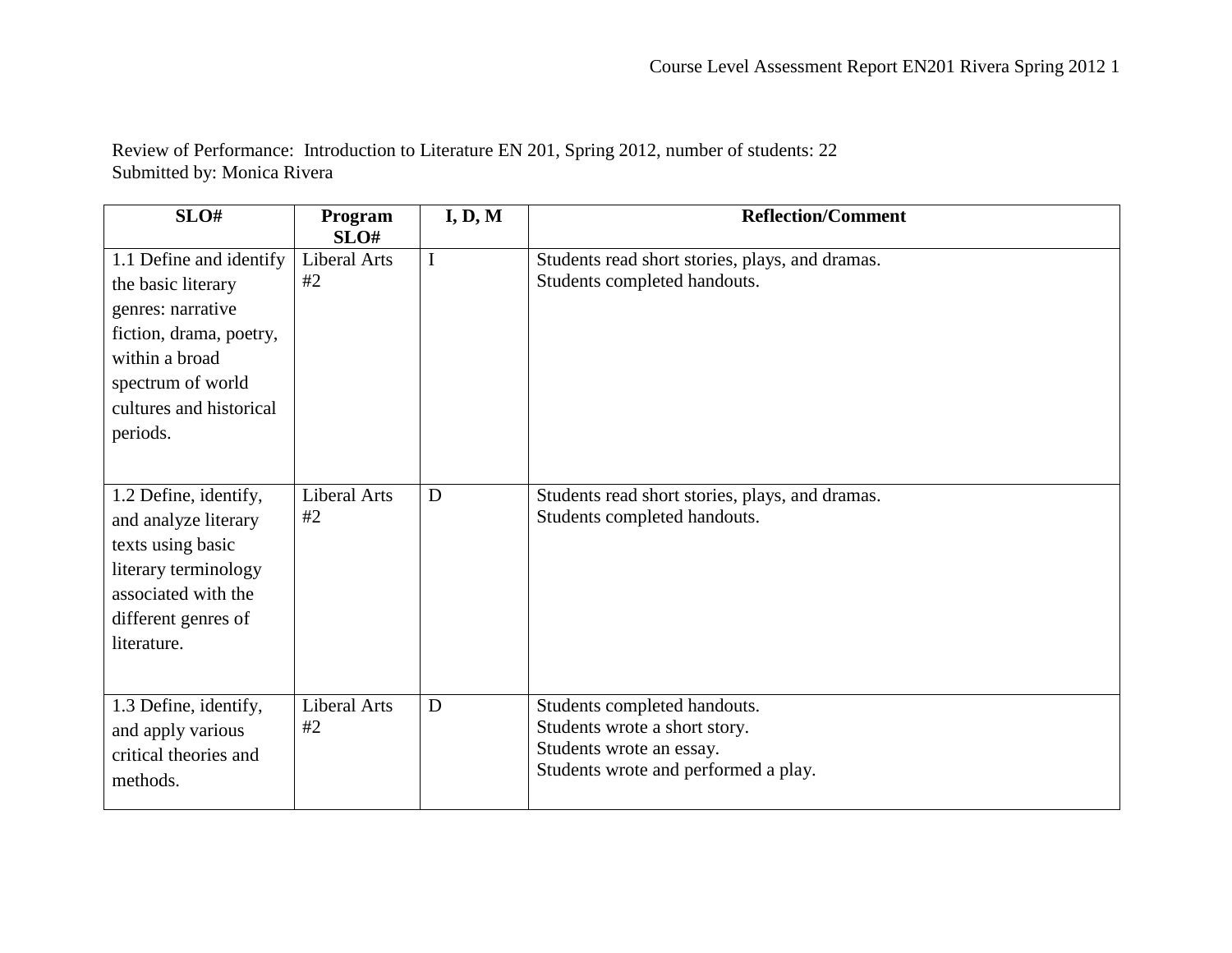Review of Performance: Introduction to Literature EN 201, Spring 2012, number of students: 22 Submitted by: Monica Rivera

| SLO#                                                                                                                                                                        | Program<br>SLO#           | I, D, M | <b>Reflection/Comment</b>                                                                                                         |
|-----------------------------------------------------------------------------------------------------------------------------------------------------------------------------|---------------------------|---------|-----------------------------------------------------------------------------------------------------------------------------------|
| 1.1 Define and identify<br>the basic literary<br>genres: narrative<br>fiction, drama, poetry,<br>within a broad<br>spectrum of world<br>cultures and historical<br>periods. | <b>Liberal Arts</b><br>#2 | I       | Students read short stories, plays, and dramas.<br>Students completed handouts.                                                   |
| 1.2 Define, identify,<br>and analyze literary<br>texts using basic<br>literary terminology<br>associated with the<br>different genres of<br>literature.                     | <b>Liberal Arts</b><br>#2 | D       | Students read short stories, plays, and dramas.<br>Students completed handouts.                                                   |
| 1.3 Define, identify,<br>and apply various<br>critical theories and<br>methods.                                                                                             | <b>Liberal Arts</b><br>#2 | D       | Students completed handouts.<br>Students wrote a short story.<br>Students wrote an essay.<br>Students wrote and performed a play. |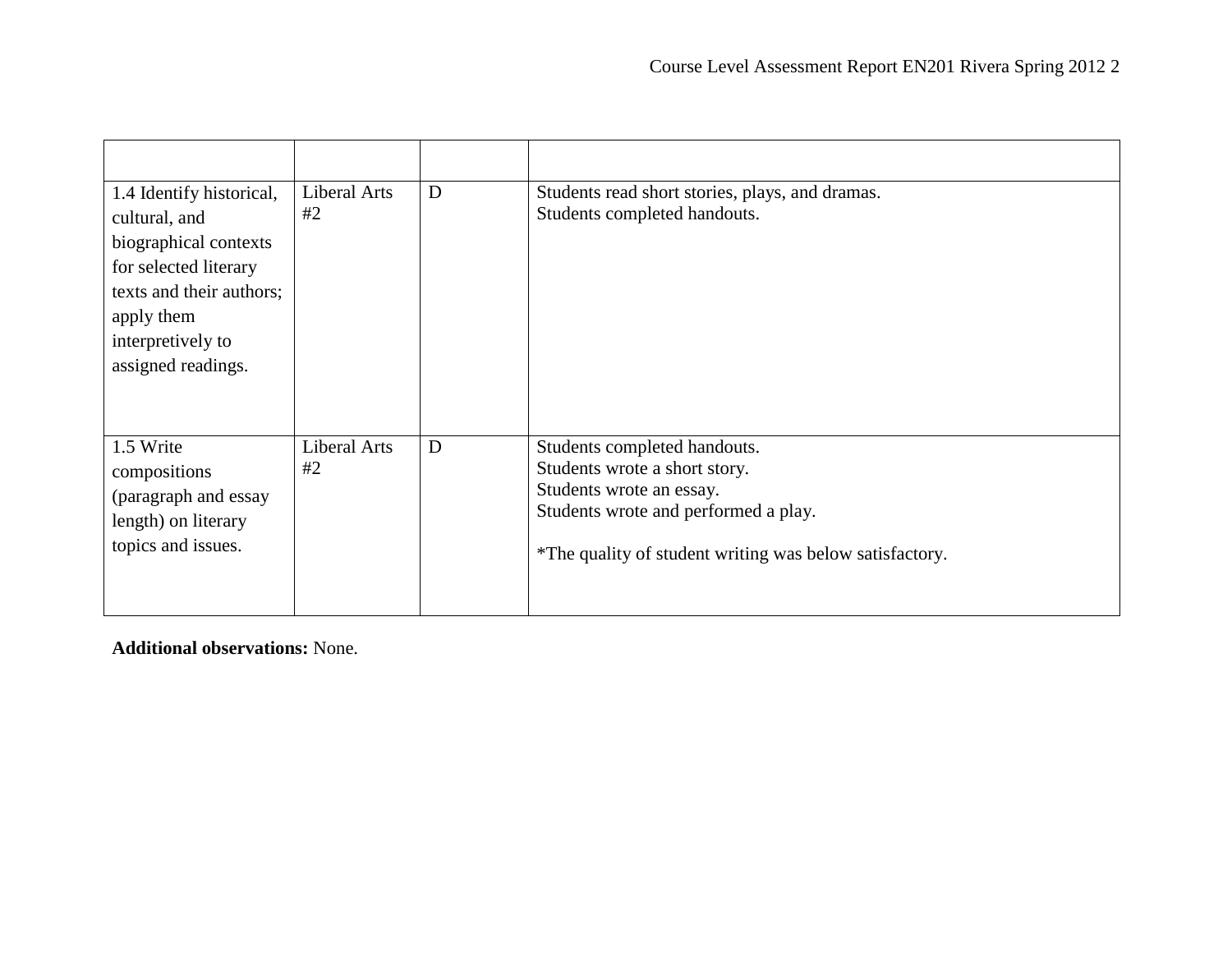| 1.4 Identify historical,<br>cultural, and<br>biographical contexts<br>for selected literary<br>texts and their authors;<br>apply them<br>interpretively to<br>assigned readings. | <b>Liberal Arts</b><br>#2 | D | Students read short stories, plays, and dramas.<br>Students completed handouts.                                                                                                              |
|----------------------------------------------------------------------------------------------------------------------------------------------------------------------------------|---------------------------|---|----------------------------------------------------------------------------------------------------------------------------------------------------------------------------------------------|
| 1.5 Write<br>compositions<br>(paragraph and essay<br>length) on literary<br>topics and issues.                                                                                   | <b>Liberal Arts</b><br>#2 | D | Students completed handouts.<br>Students wrote a short story.<br>Students wrote an essay.<br>Students wrote and performed a play.<br>*The quality of student writing was below satisfactory. |

**Additional observations:** None.